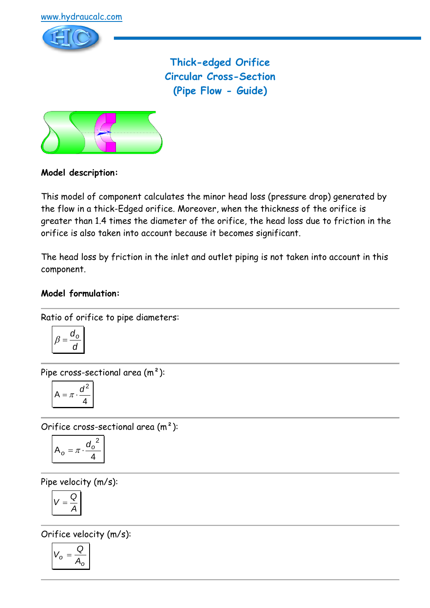

**Thick-edged Orifice Circular Cross-Section (Pipe Flow - Guide)**



# **Model description:**

This model of component calculates the minor head loss (pressure drop) generated by the flow in a thick-Edged orifice. Moreover, when the thickness of the orifice is greater than 1.4 times the diameter of the orifice, the head loss due to friction in the orifice is also taken into account because it becomes significant.

The head loss by friction in the inlet and outlet piping is not taken into account in this component.

# **Model formulation:**

Ratio of orifice to pipe diameters:

$$
\beta = \frac{d_o}{d}
$$

Pipe cross-sectional area (m²):

$$
A = \pi \cdot \frac{d^2}{4}
$$

Orifice cross-sectional area (m²):

$$
A_o = \pi \cdot \frac{{d_o}^2}{4}
$$

Pipe velocity (m/s):

$$
V=\frac{Q}{A}
$$

Orifice velocity (m/s):

$$
V_o = \frac{Q}{A_o}
$$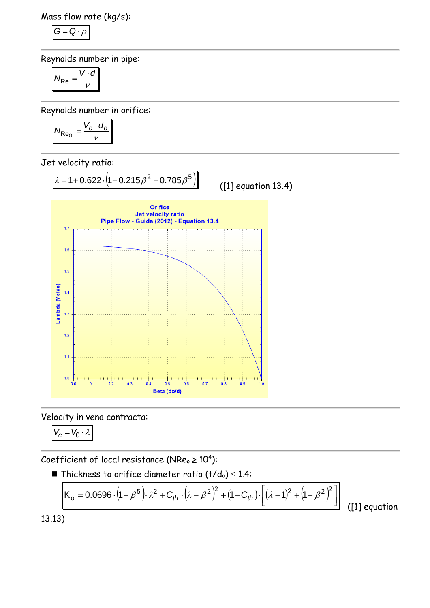Mass flow rate (kg/s):

$$
G=Q\cdot \rho
$$

Reynolds number in pipe:

$$
N_{\text{Re}} = \frac{V \cdot d}{v}
$$

Reynolds number in orifice:

$$
N_{\text{Re}_O} = \frac{V_o \cdot d_o}{v}
$$

Jet velocity ratio:



Velocity in vena contracta:

$$
V_c=V_0\cdot\lambda
$$

Coefficient of local resistance (NRe $_{\circ}$   $\geq$  10<sup>4</sup>):

■ Thickness to orifice diameter ratio 
$$
(t/d_0) \leq 1.4
$$
:

$$
K_{o} = 0.0696 \cdot (1 - \beta^{5}) \cdot \lambda^{2} + C_{th} \cdot (\lambda - \beta^{2})^{2} + (1 - C_{th}) \cdot [(\lambda - 1)^{2} + (1 - \beta^{2})^{2}] \tag{11}
$$

([1] equation

13.13)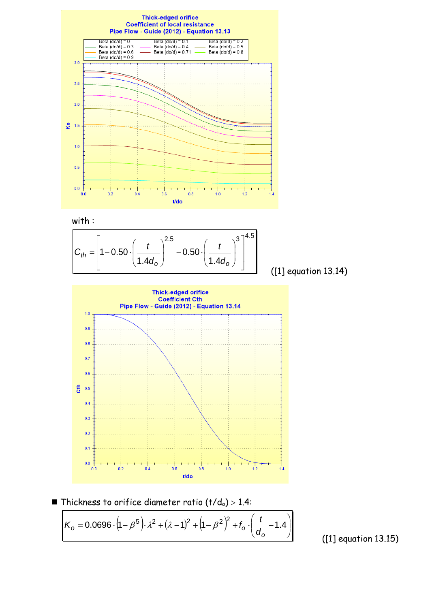

with :



([1] equation 13.14)



**Thickness to orifice diameter ratio (t/do)** > 1.4:

$$
K_0 = 0.0696 \cdot (1 - \beta^5) \cdot \lambda^2 + (\lambda - 1)^2 + (1 - \beta^2)^2 + f_0 \cdot \left(\frac{t}{d_0} - 1.4\right)
$$

([1] equation 13.15)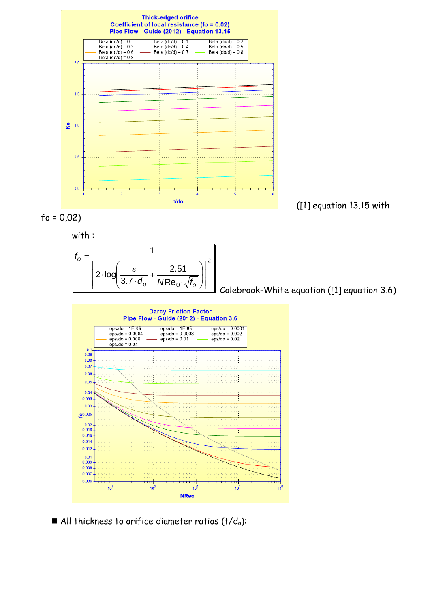







Colebrook-White equation ([1] equation 3.6)



All thickness to orifice diameter ratios  $(t/d_0)$ :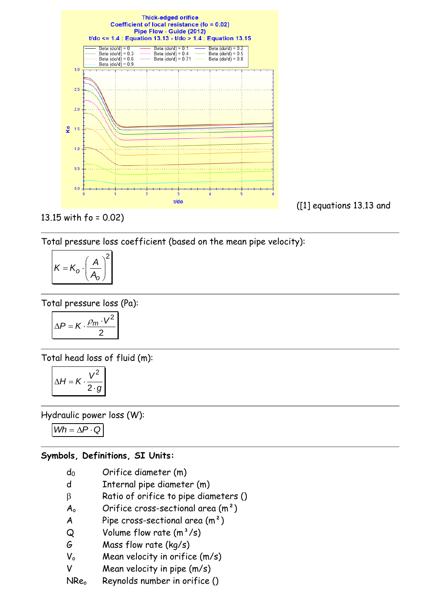

# 13.15 with fo = 0.02)

Total pressure loss coefficient (based on the mean pipe velocity):

$$
K = K_o \cdot \left(\frac{A}{A_o}\right)^2
$$

Total pressure loss (Pa):

$$
\Delta P = K \cdot \frac{\rho_m \cdot V^2}{2}
$$

Total head loss of fluid (m):

$$
\Delta H = K \cdot \frac{V^2}{2 \cdot g}
$$

Hydraulic power loss (W):

 $Wh = \Delta P \cdot Q$ 

#### **Symbols, Definitions, SI Units:**

- d<sub>0</sub> Orifice diameter (m)
- d Internal pipe diameter (m)
- $\beta$  Ratio of orifice to pipe diameters ()
- $A_0$  Orifice cross-sectional area  $(m^2)$
- A Pipe cross-sectional area  $(m<sup>2</sup>)$
- $Q$  Volume flow rate  $(m^3/s)$
- G Mass flow rate (kg/s)
- $V_0$  Mean velocity in orifice  $(m/s)$
- V Mean velocity in pipe (m/s)
- NRe<sub>o</sub> Reynolds number in orifice ()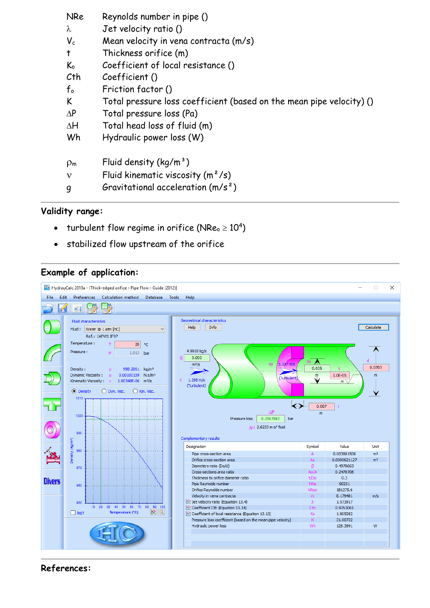| <b>NRe</b>     | Reynolds number in pipe ()                                           |
|----------------|----------------------------------------------------------------------|
| $\lambda$      | Jet velocity ratio ()                                                |
| $V_c$          | Mean velocity in vena contracta (m/s)                                |
| $\ddagger$     | Thickness orifice (m)                                                |
| $K_{o}$        | Coefficient of local resistance ()                                   |
| Cth            | Coefficient ()                                                       |
| $f_{o}$        | Friction factor ()                                                   |
| K              | Total pressure loss coefficient (based on the mean pipe velocity) () |
| $\Delta P$     | Total pressure loss (Pa)                                             |
| $\Delta H$     | Total head loss of fluid (m)                                         |
| Wh             | Hydraulic power loss (W)                                             |
| $\rho_{\rm m}$ | Fluid density $(kq/m^3)$                                             |
| $\mathbf{v}$   | Fluid kinematic viscosity $(m^2/s)$                                  |
| g              | Gravitational acceleration $(m/s^2)$                                 |

# **Validity range:**

- turbulent flow regime in orifice (NRe $_{\circ}$   $\geq 10^{4})$
- stabilized flow upstream of the orifice

# **Example of application:**



**References:**